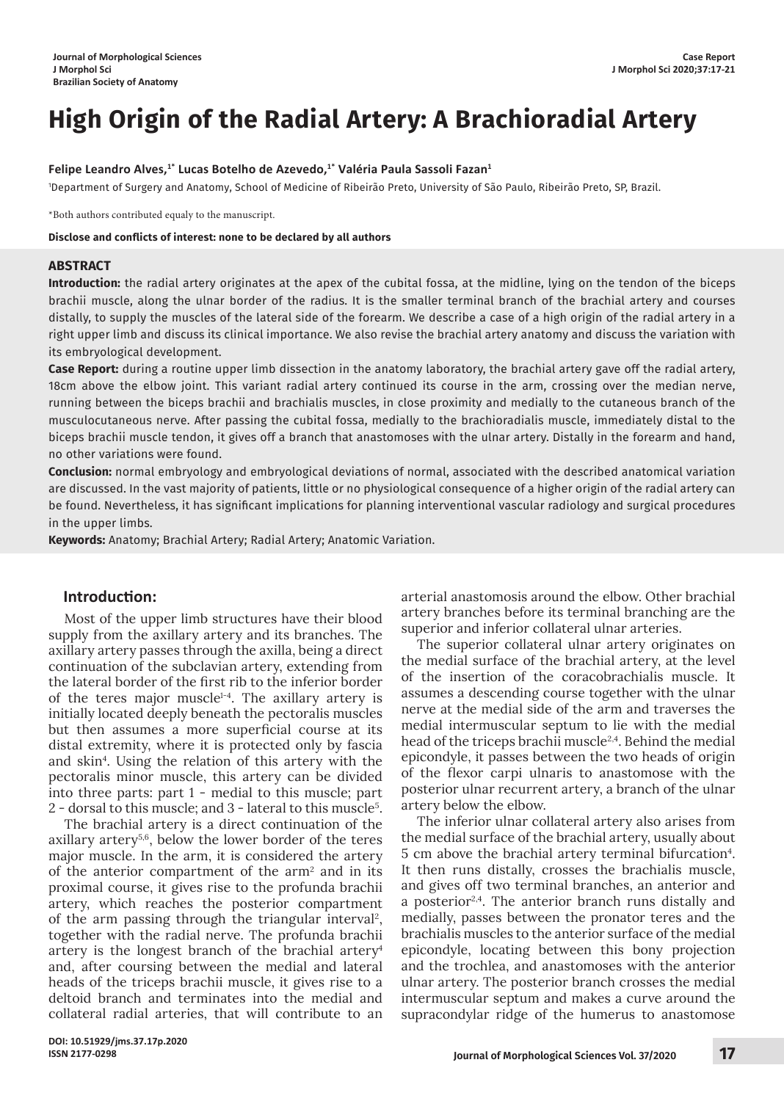# **High Origin of the Radial Artery: A Brachioradial Artery**

## **Felipe Leandro Alves,<sup>1</sup>\* Lucas Botelho de Azevedo,<sup>1</sup>\* Valéria Paula Sassoli Fazan<sup>1</sup>**

<sup>1</sup>Department of Surgery and Anatomy, School of Medicine of Ribeirão Preto, University of São Paulo, Ribeirão Preto, SP, Brazil.

\*Both authors contributed equaly to the manuscript.

#### **Disclose and conflicts of interest: none to be declared by all authors**

#### **ABSTRACT**

**Introduction:** the radial artery originates at the apex of the cubital fossa, at the midline, lying on the tendon of the biceps brachii muscle, along the ulnar border of the radius. It is the smaller terminal branch of the brachial artery and courses distally, to supply the muscles of the lateral side of the forearm. We describe a case of a high origin of the radial artery in a right upper limb and discuss its clinical importance. We also revise the brachial artery anatomy and discuss the variation with its embryological development.

**Case Report:** during a routine upper limb dissection in the anatomy laboratory, the brachial artery gave off the radial artery, 18cm above the elbow joint. This variant radial artery continued its course in the arm, crossing over the median nerve, running between the biceps brachii and brachialis muscles, in close proximity and medially to the cutaneous branch of the musculocutaneous nerve. After passing the cubital fossa, medially to the brachioradialis muscle, immediately distal to the biceps brachii muscle tendon, it gives off a branch that anastomoses with the ulnar artery. Distally in the forearm and hand, no other variations were found.

**Conclusion:** normal embryology and embryological deviations of normal, associated with the described anatomical variation are discussed. In the vast majority of patients, little or no physiological consequence of a higher origin of the radial artery can be found. Nevertheless, it has significant implications for planning interventional vascular radiology and surgical procedures in the upper limbs.

**Keywords:** Anatomy; Brachial Artery; Radial Artery; Anatomic Variation.

# **Introduction:**

Most of the upper limb structures have their blood supply from the axillary artery and its branches. The axillary artery passes through the axilla, being a direct continuation of the subclavian artery, extending from the lateral border of the first rib to the inferior border of the teres major muscle $1-4$ . The axillary artery is initially located deeply beneath the pectoralis muscles but then assumes a more superficial course at its distal extremity, where it is protected only by fascia and skin4 . Using the relation of this artery with the pectoralis minor muscle, this artery can be divided into three parts: part 1 - medial to this muscle; part 2 - dorsal to this muscle; and 3 - lateral to this muscle5.

The brachial artery is a direct continuation of the axillary artery5,6, below the lower border of the teres major muscle. In the arm, it is considered the artery of the anterior compartment of the  $arm<sup>2</sup>$  and in its proximal course, it gives rise to the profunda brachii artery, which reaches the posterior compartment of the arm passing through the triangular interval<sup>2</sup>, together with the radial nerve. The profunda brachii artery is the longest branch of the brachial artery<sup>4</sup> and, after coursing between the medial and lateral heads of the triceps brachii muscle, it gives rise to a deltoid branch and terminates into the medial and collateral radial arteries, that will contribute to an

arterial anastomosis around the elbow. Other brachial artery branches before its terminal branching are the superior and inferior collateral ulnar arteries.

The superior collateral ulnar artery originates on the medial surface of the brachial artery, at the level of the insertion of the coracobrachialis muscle. It assumes a descending course together with the ulnar nerve at the medial side of the arm and traverses the medial intermuscular septum to lie with the medial head of the triceps brachii muscle2,4. Behind the medial epicondyle, it passes between the two heads of origin of the flexor carpi ulnaris to anastomose with the posterior ulnar recurrent artery, a branch of the ulnar artery below the elbow.

The inferior ulnar collateral artery also arises from the medial surface of the brachial artery, usually about 5 cm above the brachial artery terminal bifurcation<sup>4</sup>. It then runs distally, crosses the brachialis muscle, and gives off two terminal branches, an anterior and a posterior $2,4$ . The anterior branch runs distally and medially, passes between the pronator teres and the brachialis muscles to the anterior surface of the medial epicondyle, locating between this bony projection and the trochlea, and anastomoses with the anterior ulnar artery. The posterior branch crosses the medial intermuscular septum and makes a curve around the supracondylar ridge of the humerus to anastomose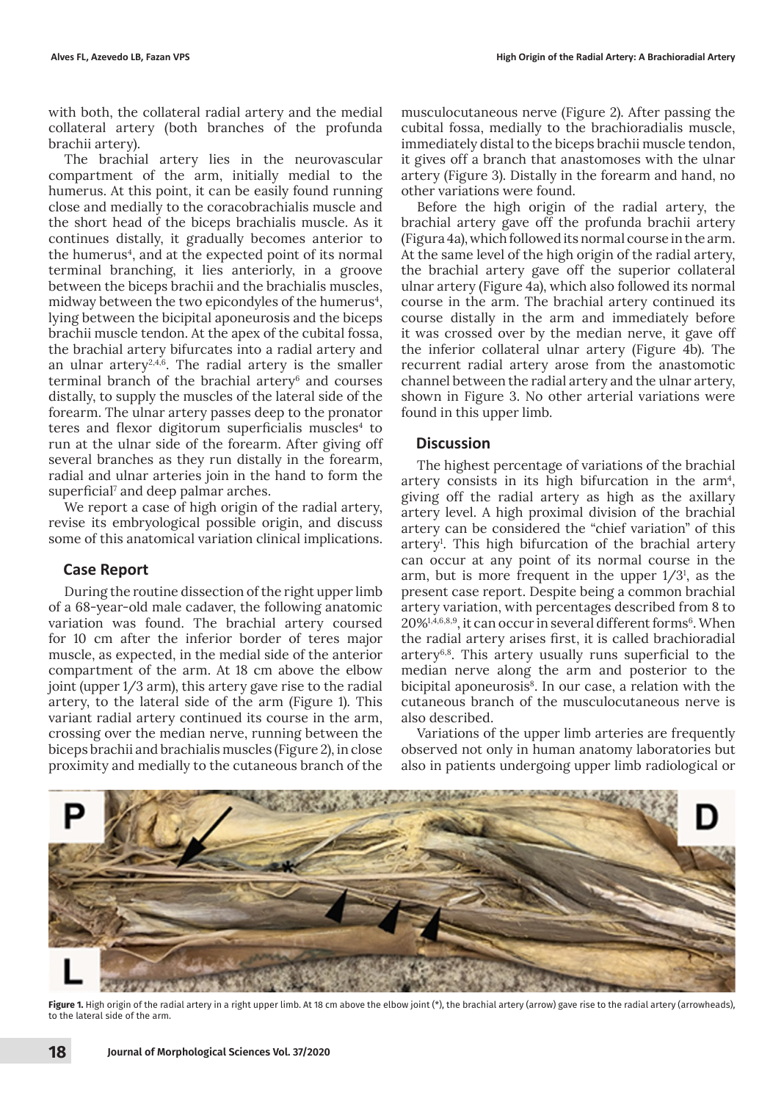with both, the collateral radial artery and the medial collateral artery (both branches of the profunda brachii artery).

The brachial artery lies in the neurovascular compartment of the arm, initially medial to the humerus. At this point, it can be easily found running close and medially to the coracobrachialis muscle and the short head of the biceps brachialis muscle. As it continues distally, it gradually becomes anterior to the humerus<sup>4</sup>, and at the expected point of its normal terminal branching, it lies anteriorly, in a groove between the biceps brachii and the brachialis muscles, midway between the two epicondyles of the humerus $^{\rm 4}$ , lying between the bicipital aponeurosis and the biceps brachii muscle tendon. At the apex of the cubital fossa, the brachial artery bifurcates into a radial artery and an ulnar artery<sup>2,4,6</sup>. The radial artery is the smaller terminal branch of the brachial artery $6$  and courses distally, to supply the muscles of the lateral side of the forearm. The ulnar artery passes deep to the pronator teres and flexor digitorum superficialis muscles $4$  to run at the ulnar side of the forearm. After giving off several branches as they run distally in the forearm, radial and ulnar arteries join in the hand to form the superficial<sup>7</sup> and deep palmar arches.

We report a case of high origin of the radial artery, revise its embryological possible origin, and discuss some of this anatomical variation clinical implications.

#### **Case Report**

During the routine dissection of the right upper limb of a 68-year-old male cadaver, the following anatomic variation was found. The brachial artery coursed for 10 cm after the inferior border of teres major muscle, as expected, in the medial side of the anterior compartment of the arm. At 18 cm above the elbow joint (upper 1/3 arm), this artery gave rise to the radial artery, to the lateral side of the arm (Figure 1). This variant radial artery continued its course in the arm, crossing over the median nerve, running between the biceps brachii and brachialis muscles (Figure 2), in close proximity and medially to the cutaneous branch of the

musculocutaneous nerve (Figure 2). After passing the cubital fossa, medially to the brachioradialis muscle, immediately distal to the biceps brachii muscle tendon, it gives off a branch that anastomoses with the ulnar artery (Figure 3). Distally in the forearm and hand, no other variations were found.

Before the high origin of the radial artery, the brachial artery gave off the profunda brachii artery (Figura 4a), which followed its normal course in the arm. At the same level of the high origin of the radial artery, the brachial artery gave off the superior collateral ulnar artery (Figure 4a), which also followed its normal course in the arm. The brachial artery continued its course distally in the arm and immediately before it was crossed over by the median nerve, it gave off the inferior collateral ulnar artery (Figure 4b). The recurrent radial artery arose from the anastomotic channel between the radial artery and the ulnar artery, shown in Figure 3. No other arterial variations were found in this upper limb.

#### **Discussion**

The highest percentage of variations of the brachial artery consists in its high bifurcation in the  $arm<sup>4</sup>$ , giving off the radial artery as high as the axillary artery level. A high proximal division of the brachial artery can be considered the "chief variation" of this artery1 . This high bifurcation of the brachial artery can occur at any point of its normal course in the arm, but is more frequent in the upper  $1/3<sup>1</sup>$ , as the present case report. Despite being a common brachial artery variation, with percentages described from 8 to  $20\%^{1,4,6,8,9}$ , it can occur in several different forms<sup>6</sup>. When the radial artery arises first, it is called brachioradial artery6,8. This artery usually runs superficial to the median nerve along the arm and posterior to the bicipital aponeurosis<sup>8</sup>. In our case, a relation with the cutaneous branch of the musculocutaneous nerve is also described.

Variations of the upper limb arteries are frequently observed not only in human anatomy laboratories but also in patients undergoing upper limb radiological or



Figure 1. High origin of the radial artery in a right upper limb. At 18 cm above the elbow joint (\*), the brachial artery (arrow) gave rise to the radial artery (arrowheads), to the lateral side of the arm.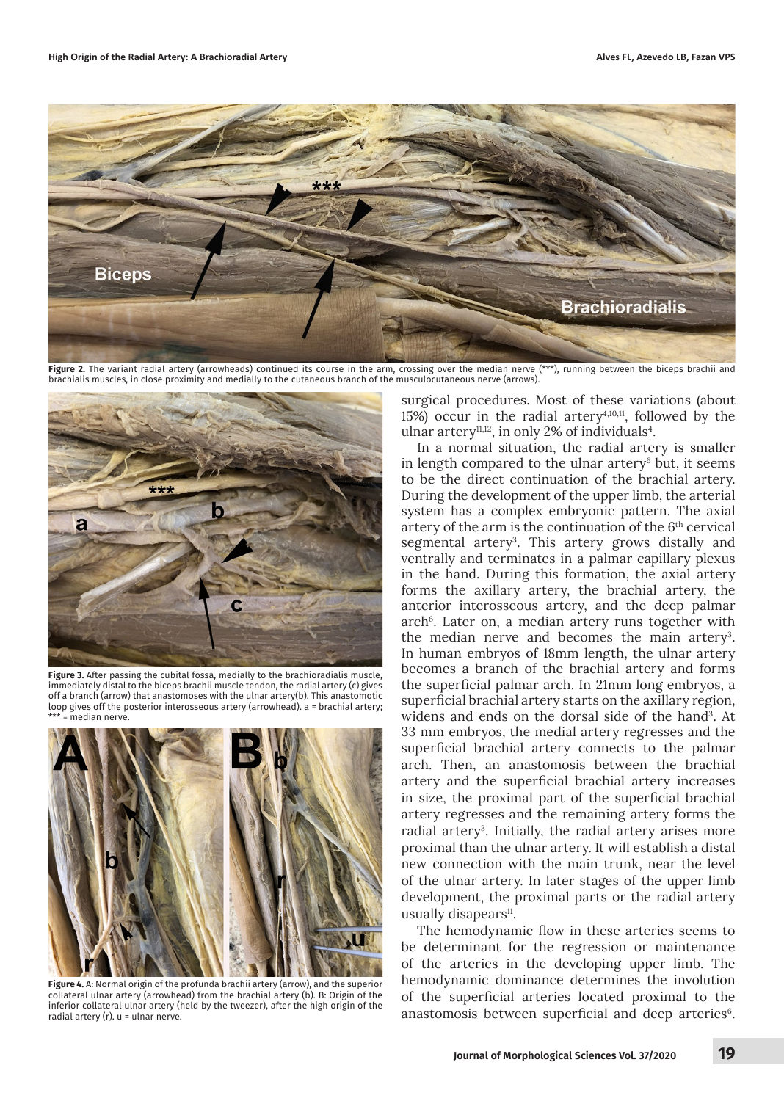

**Figure 2.** The variant radial artery (arrowheads) continued its course in the arm, crossing over the median nerve (\*\*\*), running between the biceps brachii and brachialis muscles, in close proximity and medially to the cutaneous branch of the musculocutaneous nerve (arrows).



**Figure 3.** After passing the cubital fossa, medially to the brachioradialis muscle, immediately distal to the biceps brachii muscle tendon, the radial artery (c) gives off a branch (arrow) that anastomoses with the ulnar artery(b). This anastomotic loop gives off the posterior interosseous artery (arrowhead). a = brachial artery; = median nerve



**Figure 4.** A: Normal origin of the profunda brachii artery (arrow), and the superior collateral ulnar artery (arrowhead) from the brachial artery (b). B: Origin of the inferior collateral ulnar artery (held by the tweezer), after the high origin of the radial artery (r). u = ulnar nerve.

surgical procedures. Most of these variations (about 15%) occur in the radial artery<sup> $4,10,11$ </sup>, followed by the ulnar artery<sup>11,12</sup>, in only 2% of individuals<sup>4</sup>.

In a normal situation, the radial artery is smaller in length compared to the ulnar artery $6$  but, it seems to be the direct continuation of the brachial artery. During the development of the upper limb, the arterial system has a complex embryonic pattern. The axial artery of the arm is the continuation of the 6th cervical segmental artery<sup>3</sup>. This artery grows distally and ventrally and terminates in a palmar capillary plexus in the hand. During this formation, the axial artery forms the axillary artery, the brachial artery, the anterior interosseous artery, and the deep palmar arch<sup>6</sup>. Later on, a median artery runs together with the median nerve and becomes the main artery<sup>3</sup>. In human embryos of 18mm length, the ulnar artery becomes a branch of the brachial artery and forms the superficial palmar arch. In 21mm long embryos, a superficial brachial artery starts on the axillary region, widens and ends on the dorsal side of the hand<sup>3</sup>. At 33 mm embryos, the medial artery regresses and the superficial brachial artery connects to the palmar arch. Then, an anastomosis between the brachial artery and the superficial brachial artery increases in size, the proximal part of the superficial brachial artery regresses and the remaining artery forms the radial artery<sup>3</sup>. Initially, the radial artery arises more proximal than the ulnar artery. It will establish a distal new connection with the main trunk, near the level of the ulnar artery. In later stages of the upper limb development, the proximal parts or the radial artery usually disapears<sup>11</sup>.

The hemodynamic flow in these arteries seems to be determinant for the regression or maintenance of the arteries in the developing upper limb. The hemodynamic dominance determines the involution of the superficial arteries located proximal to the anastomosis between superficial and deep arteries<sup>6</sup>.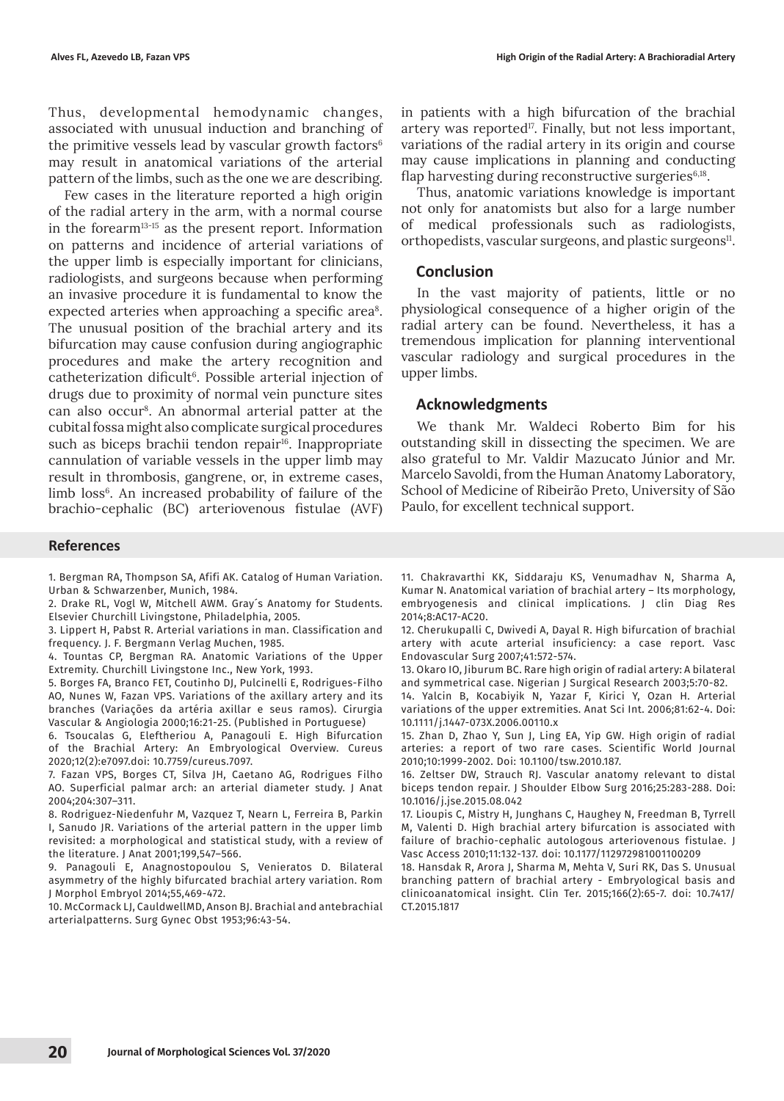Thus, developmental hemodynamic changes, associated with unusual induction and branching of the primitive vessels lead by vascular growth factors $6$ may result in anatomical variations of the arterial pattern of the limbs, such as the one we are describing.

Few cases in the literature reported a high origin of the radial artery in the arm, with a normal course in the forearm13-15 as the present report. Information on patterns and incidence of arterial variations of the upper limb is especially important for clinicians, radiologists, and surgeons because when performing an invasive procedure it is fundamental to know the expected arteries when approaching a specific area<sup>8</sup>. The unusual position of the brachial artery and its bifurcation may cause confusion during angiographic procedures and make the artery recognition and catheterization dificult6. Possible arterial injection of drugs due to proximity of normal vein puncture sites can also occur8. An abnormal arterial patter at the cubital fossa might also complicate surgical procedures such as biceps brachii tendon repair<sup>16</sup>. Inappropriate cannulation of variable vessels in the upper limb may result in thrombosis, gangrene, or, in extreme cases, limb loss<sup>6</sup>. An increased probability of failure of the brachio-cephalic (BC) arteriovenous fistulae (AVF)

#### **References**

1. Bergman RA, Thompson SA, Afifi AK. Catalog of Human Variation. Urban & Schwarzenber, Munich, 1984.

2. Drake RL, Vogl W, Mitchell AWM. Gray´s Anatomy for Students. Elsevier Churchill Livingstone, Philadelphia, 2005.

3. Lippert H, Pabst R. Arterial variations in man. Classification and frequency. J. F. Bergmann Verlag Muchen, 1985.

4. Tountas CP, Bergman RA. Anatomic Variations of the Upper Extremity. Churchill Livingstone Inc., New York, 1993.

5. Borges FA, Branco FET, Coutinho DJ, Pulcinelli E, Rodrigues-Filho AO, Nunes W, Fazan VPS. Variations of the axillary artery and its branches (Variações da artéria axillar e seus ramos). Cirurgia Vascular & Angiologia 2000;16:21-25. (Published in Portuguese)

6. Tsoucalas G, Eleftheriou A, Panagouli E. High Bifurcation of the Brachial Artery: An Embryological Overview. Cureus 2020;12(2):e7097.doi: 10.7759/cureus.7097.

7. Fazan VPS, Borges CT, Silva JH, Caetano AG, Rodrigues Filho AO. Superficial palmar arch: an arterial diameter study. J Anat 2004;204:307–311.

8. Rodriguez-Niedenfuhr M, Vazquez T, Nearn L, Ferreira B, Parkin I, Sanudo JR. Variations of the arterial pattern in the upper limb revisited: a morphological and statistical study, with a review of the literature. J Anat 2001;199,547–566.

9. Panagouli E, Anagnostopoulou S, Venieratos D. Bilateral asymmetry of the highly bifurcated brachial artery variation. Rom J Morphol Embryol 2014;55,469-472.

10. McCormack LJ, CauldwellMD, Anson BJ. Brachial and antebrachial arterialpatterns. Surg Gynec Obst 1953;96:43-54.

in patients with a high bifurcation of the brachial artery was reported<sup>17</sup>. Finally, but not less important, variations of the radial artery in its origin and course may cause implications in planning and conducting flap harvesting during reconstructive surgeries $6,18$ .

Thus, anatomic variations knowledge is important not only for anatomists but also for a large number of medical professionals such as radiologists, orthopedists, vascular surgeons, and plastic surgeons<sup>11</sup>.

#### **Conclusion**

In the vast majority of patients, little or no physiological consequence of a higher origin of the radial artery can be found. Nevertheless, it has a tremendous implication for planning interventional vascular radiology and surgical procedures in the upper limbs.

## **Acknowledgments**

We thank Mr. Waldeci Roberto Bim for his outstanding skill in dissecting the specimen. We are also grateful to Mr. Valdir Mazucato Júnior and Mr. Marcelo Savoldi, from the Human Anatomy Laboratory, School of Medicine of Ribeirão Preto, University of São Paulo, for excellent technical support.

11. Chakravarthi KK, Siddaraju KS, Venumadhav N, Sharma A, Kumar N. Anatomical variation of brachial artery – Its morphology, embryogenesis and clinical implications. J clin Diag Res 2014;8:AC17-AC20.

12. Cherukupalli C, Dwivedi A, Dayal R. High bifurcation of brachial artery with acute arterial insuficiency: a case report. Vasc Endovascular Surg 2007;41:572-574.

13. Okaro IO, Jiburum BC. Rare high origin of radial artery: A bilateral and symmetrical case. Nigerian J Surgical Research 2003;5:70-82.

14. Yalcin B, Kocabiyik N, Yazar F, Kirici Y, Ozan H. Arterial variations of the upper extremities. Anat Sci Int. 2006;81:62-4. Doi: 10.1111/j.1447-073X.2006.00110.x

15. Zhan D, Zhao Y, Sun J, Ling EA, Yip GW. High origin of radial arteries: a report of two rare cases. Scientific World Journal 2010;10:1999-2002. Doi: 10.1100/tsw.2010.187.

16. Zeltser DW, Strauch RJ. Vascular anatomy relevant to distal biceps tendon repair. J Shoulder Elbow Surg 2016;25:283-288. Doi: 10.1016/j.jse.2015.08.042

17. Lioupis C, Mistry H, Junghans C, Haughey N, Freedman B, Tyrrell M, Valenti D. High brachial artery bifurcation is associated with failure of brachio-cephalic autologous arteriovenous fistulae. J Vasc Access 2010;11:132-137. doi: 10.1177/112972981001100209

18. Hansdak R, Arora J, Sharma M, Mehta V, Suri RK, Das S. Unusual branching pattern of brachial artery - Embryological basis and clinicoanatomical insight. Clin Ter. 2015;166(2):65-7. doi: 10.7417/ CT.2015.1817